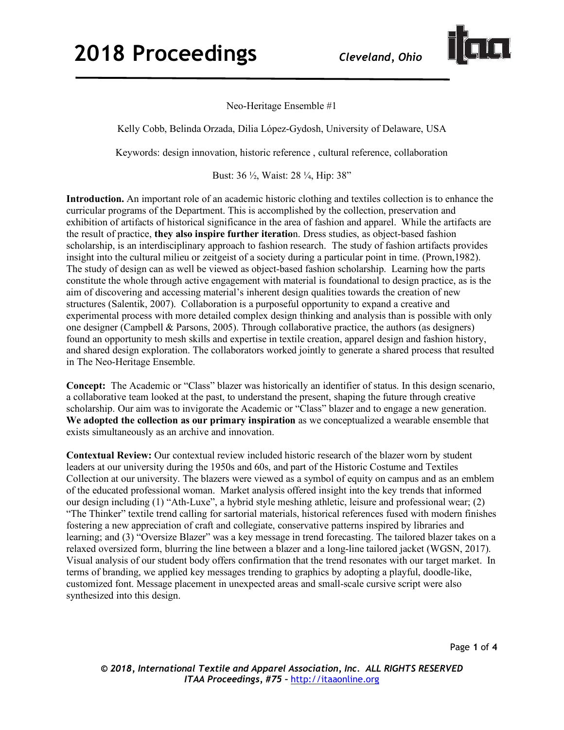

Neo-Heritage Ensemble #1

Kelly Cobb, Belinda Orzada, Dilia López-Gydosh, University of Delaware, USA

Keywords: design innovation, historic reference , cultural reference, collaboration

Bust: 36 ½, Waist: 28 ¼, Hip: 38"

**Introduction.** An important role of an academic historic clothing and textiles collection is to enhance the curricular programs of the Department. This is accomplished by the collection, preservation and exhibition of artifacts of historical significance in the area of fashion and apparel. While the artifacts are the result of practice, **they also inspire further iteratio**n. Dress studies, as object-based fashion scholarship, is an interdisciplinary approach to fashion research. The study of fashion artifacts provides insight into the cultural milieu or zeitgeist of a society during a particular point in time. (Prown,1982). The study of design can as well be viewed as object-based fashion scholarship. Learning how the parts constitute the whole through active engagement with material is foundational to design practice, as is the aim of discovering and accessing material's inherent design qualities towards the creation of new structures (Salentik, 2007). Collaboration is a purposeful opportunity to expand a creative and experimental process with more detailed complex design thinking and analysis than is possible with only one designer (Campbell & Parsons, 2005). Through collaborative practice, the authors (as designers) found an opportunity to mesh skills and expertise in textile creation, apparel design and fashion history, and shared design exploration. The collaborators worked jointly to generate a shared process that resulted in The Neo-Heritage Ensemble.

**Concept:** The Academic or "Class" blazer was historically an identifier of status. In this design scenario, a collaborative team looked at the past, to understand the present, shaping the future through creative scholarship. Our aim was to invigorate the Academic or "Class" blazer and to engage a new generation. **We adopted the collection as our primary inspiration** as we conceptualized a wearable ensemble that exists simultaneously as an archive and innovation.

**Contextual Review:** Our contextual review included historic research of the blazer worn by student leaders at our university during the 1950s and 60s, and part of the Historic Costume and Textiles Collection at our university. The blazers were viewed as a symbol of equity on campus and as an emblem of the educated professional woman. Market analysis offered insight into the key trends that informed our design including (1) "Ath-Luxe", a hybrid style meshing athletic, leisure and professional wear; (2) "The Thinker" textile trend calling for sartorial materials, historical references fused with modern finishes fostering a new appreciation of craft and collegiate, conservative patterns inspired by libraries and learning; and (3) "Oversize Blazer" was a key message in trend forecasting. The tailored blazer takes on a relaxed oversized form, blurring the line between a blazer and a long-line tailored jacket (WGSN, 2017). Visual analysis of our student body offers confirmation that the trend resonates with our target market. In terms of branding, we applied key messages trending to graphics by adopting a playful, doodle-like, customized font. Message placement in unexpected areas and small-scale cursive script were also synthesized into this design.

Page **1** of **4**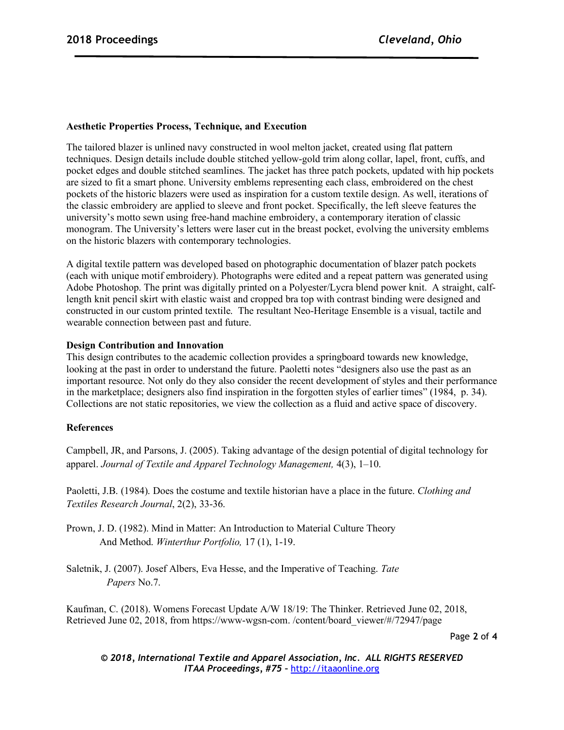## **Aesthetic Properties Process, Technique, and Execution**

The tailored blazer is unlined navy constructed in wool melton jacket, created using flat pattern techniques. Design details include double stitched yellow-gold trim along collar, lapel, front, cuffs, and pocket edges and double stitched seamlines. The jacket has three patch pockets, updated with hip pockets are sized to fit a smart phone. University emblems representing each class, embroidered on the chest pockets of the historic blazers were used as inspiration for a custom textile design. As well, iterations of the classic embroidery are applied to sleeve and front pocket. Specifically, the left sleeve features the university's motto sewn using free-hand machine embroidery, a contemporary iteration of classic monogram. The University's letters were laser cut in the breast pocket, evolving the university emblems on the historic blazers with contemporary technologies.

A digital textile pattern was developed based on photographic documentation of blazer patch pockets (each with unique motif embroidery). Photographs were edited and a repeat pattern was generated using Adobe Photoshop. The print was digitally printed on a Polyester/Lycra blend power knit. A straight, calflength knit pencil skirt with elastic waist and cropped bra top with contrast binding were designed and constructed in our custom printed textile. The resultant Neo-Heritage Ensemble is a visual, tactile and wearable connection between past and future.

## **Design Contribution and Innovation**

This design contributes to the academic collection provides a springboard towards new knowledge, looking at the past in order to understand the future. Paoletti notes "designers also use the past as an important resource. Not only do they also consider the recent development of styles and their performance in the marketplace; designers also find inspiration in the forgotten styles of earlier times" (1984, p. 34). Collections are not static repositories, we view the collection as a fluid and active space of discovery.

## **References**

Campbell, JR, and Parsons, J. (2005). Taking advantage of the design potential of digital technology for apparel. *Journal of Textile and Apparel Technology Management,* 4(3), 1–10.

Paoletti, J.B. (1984). Does the costume and textile historian have a place in the future. *Clothing and Textiles Research Journal*, 2(2), 33-36.

Prown, J. D. (1982). Mind in Matter: An Introduction to Material Culture Theory And Method. *Winterthur Portfolio,* 17 (1), 1-19.

Saletnik, J. (2007). Josef Albers, Eva Hesse, and the Imperative of Teaching. *Tate Papers* No.7.

Kaufman, C. (2018). Womens Forecast Update A/W 18/19: The Thinker. Retrieved June 02, 2018, Retrieved June 02, 2018, from https://www-wgsn-com. /content/board\_viewer/#/72947/page

Page **2** of **4**

*© 2018, International Textile and Apparel Association, Inc. ALL RIGHTS RESERVED ITAA Proceedings, #75 –* http://itaaonline.org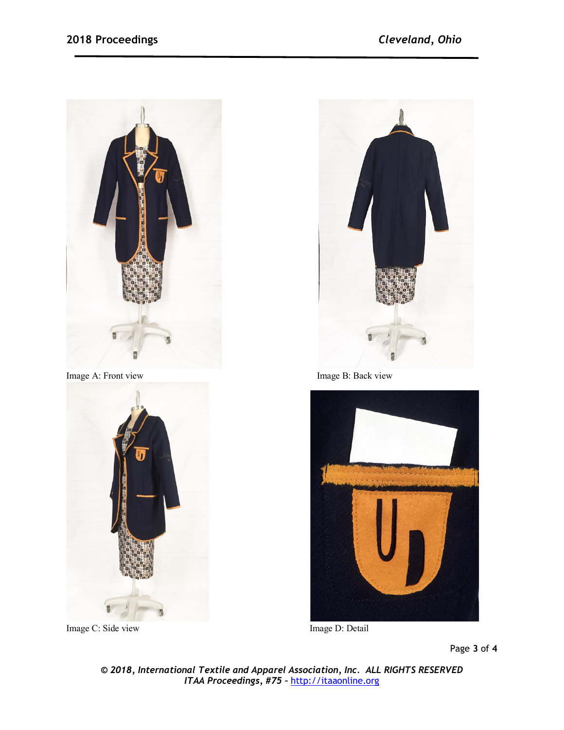



Image C: Side view Image D: Detail



Image A: Front view Image B: Back view